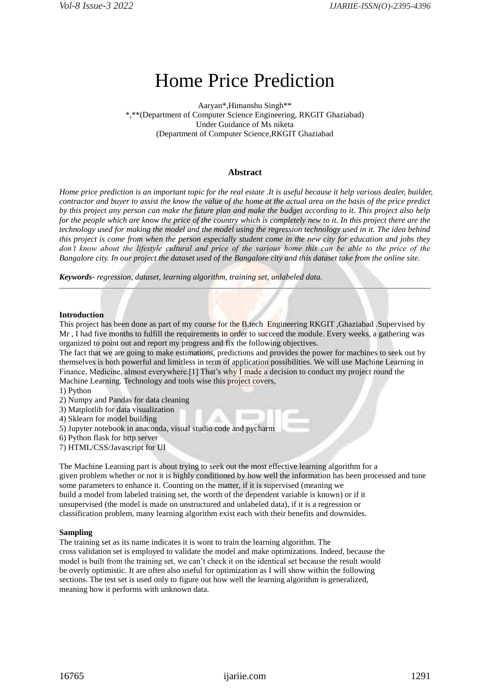# Home Price Prediction

Aaryan\*,Himanshu Singh\*\* \*,\*\*(Department of Computer Science Engineering, RKGIT Ghaziabad) Under Guidance of Ms niketa (Department of Computer Science,RKGIT Ghaziabad

# **Abstract**

*Home price prediction is an important topic for the real estate .It is useful because it help various dealer, builder, contractor and buyer to assist the know the value of the home at the actual area on the basis of the price predict by this project any person can make the future plan and make the budget according to it. This project also help for the people which are know the price of the country which is completely new to it. In this project there are the technology used for making the model and the model using the regression technology used in it. The idea behind this project is come from when the person especially student come in the new city for education and jobs they*  don't know about the lifestyle cultural and price of the various home this can be able to the price of the *Bangalore city. In our project the dataset used of the Bangalore city and this dataset take from the online site.*

*Keywords- regression, dataset, learning algorithm, training set, unlabeled data.*

#### **Introduction**

This project has been done as part of my course for the B.tech Engineering RKGIT ,Ghaziabad .Supervised by Mr , I had five months to fulfill the requirements in order to succeed the module. Every weeks, a gathering was organized to point out and report my progress and fix the following objectives.

The fact that we are going to make estimations, predictions and provides the power for machines to seek out by themselves is both powerful and limitless in term of application possibilities. We will use Machine Learning in Finance, Medicine, almost everywhere.[1] That's why I made a decision to conduct my project round the Machine Learning. Technology and tools wise this project covers,

- 1) Python
- 2) Numpy and Pandas for data cleaning
- 3) Matplotlib for data visualization
- 4) Sklearn for model building
- 5) Jupyter notebook in anaconda, visual studio code and pycharm
- 6) Python flask for http server
- 7) HTML/CSS/Javascript for UI

The Machine Learning part is about trying to seek out the most effective learning algorithm for a given problem whether or not it is highly conditioned by how well the information has been processed and tune some parameters to enhance it. Counting on the matter, if it is supervised (meaning we build a model from labeled training set, the worth of the dependent variable is known) or if it unsupervised (the model is made on unstructured and unlabeled data), if it is a regression or classification problem, many learning algorithm exist each with their benefits and downsides.

#### **Sampling**

The training set as its name indicates it is wont to train the learning algorithm. The cross validation set is employed to validate the model and make optimizations. Indeed, because the model is built from the training set, we can't check it on the identical set because the result would be overly optimistic. It are often also useful for optimization as I will show within the following sections. The test set is used only to figure out how well the learning algorithm is generalized, meaning how it performs with unknown data.